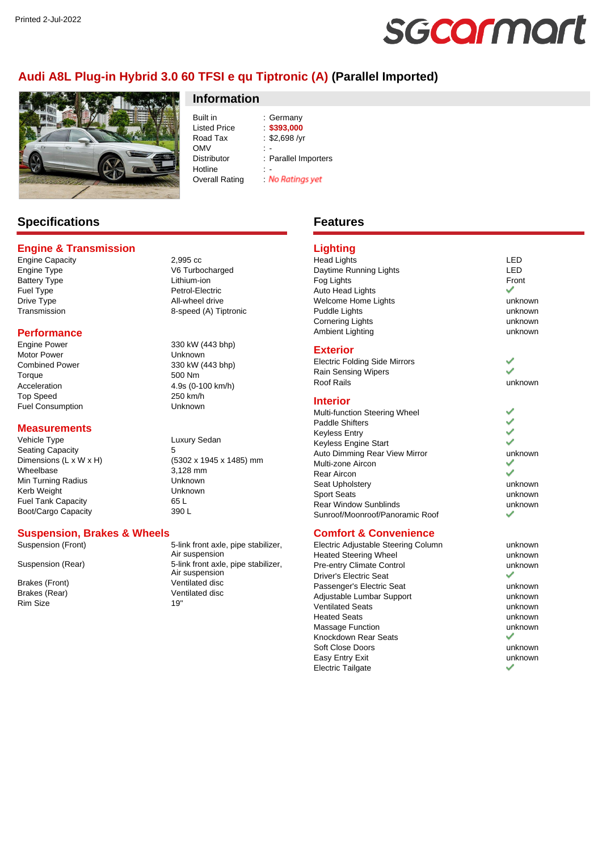# sgcarmart

# **Audi A8L Plug-in Hybrid 3.0 60 TFSI e qu Tiptronic (A) (Parallel Imported)**



# **Information**

Built in : Germany<br>
Listed Price : \$393,000 Listed Price Road Tax : \$2,698 /yr  $OMV$  : -Distributor : Parallel Importers Hotline<br>Overall Rating **No Ratings yet** Overall Rating :

# **Specifications**

#### **Engine & Transmission**

Engine Capacity<br>
Engine Type<br>
2,995 cc Battery Type Lithium-ion Fuel Type Petrol-Electric Drive Type **All-wheel drive** 

#### **Performance**

Engine Power 330 kW (443 bhp) Motor Power **Notifiant Communist Communist Communist Communist Communist Communist Communist Communist Communist Communist Communist Communist Communist Communist Communist Communist Communist Communist Communist Communist** Combined Power 330 kW (443 bhp) Torque 500 Nm Acceleration 4.9s (0-100 km/h) Top Speed 250 km/h Fuel Consumption Unknown

#### **Measurements**

Vehicle Type **Luxury Sedan** Dimensions (L  $\times$  W  $\times$  H) Wheelbase 3,128 mm Min Turning Radius **Night Communist Communist Communist Communist Communist Communist Communist Communist Communist Communist Communist Communist Communist Communist Communist Communist Communist Communist Communist Commun** Kerb Weight Fuel Tank Capacity **65 L** Boot/Cargo Capacity 390 L

V6 Turbocharged Transmission 8-speed (A) Tiptronic

Seating Capacity<br>
Dimensions (L x W x H) (5302 x 1945 x 1485) mm

## **Suspension, Brakes & Wheels**

Rim Size 19"

Suspension (Front) 5-link front axle, pipe stabilizer, Air suspension Suspension (Rear) 5-link front axle, pipe stabilizer, Air suspension Brakes (Front) **Ventilated disc**<br>Brakes (Rear) **Ventilated disc** Ventilated disc

# **Features**

#### **Lighting**

Head Lights LED<br>Daytime Running Lights Lexuber 2011 Daytime Running Lights Fog Lights Front Auto Head Lights Welcome Home Lights **unknown** Puddle Lights **unknown** Cornering Lights **unknown** Ambient Lighting unknown

#### **Exterior**

Electric Folding Side Mirrors Rain Sensing Wipers Roof Rails **No. 2018 unknown** 

#### **Interior**

Multi-function Steering Wheel Paddle Shifters Keyless Entry Keyless Engine Start Auto Dimming Rear View Mirror **East Contact State Contact Auto** unknown Multi-zone Aircon Rear Aircon Seat Upholstery **unknown** Sport Seats unknown Rear Window Sunblinds **unknown**<br>Sunroof/Moonroof/Panoramic Poof Sunroof/Moonroof/Panoramic Roof

#### **Comfort & Convenience**

Electric Adjustable Steering Column by the unknown Heated Steering Wheel **East Controllering** Wheel Pre-entry Climate Control **Example 2** unknown Driver's Electric Seat Passenger's Electric Seat values of the unknown Adjustable Lumbar Support and the unknown Ventilated Seats unknown Heated Seats unknown Massage Function and the control of the unknown Knockdown Rear Seats Soft Close Doors **unknown** Easy Entry Exit **Exist Exist Exist Exist Exist Exist EXIST EXIST EXIST** Electric Tailgate

v

٧

# U ۶